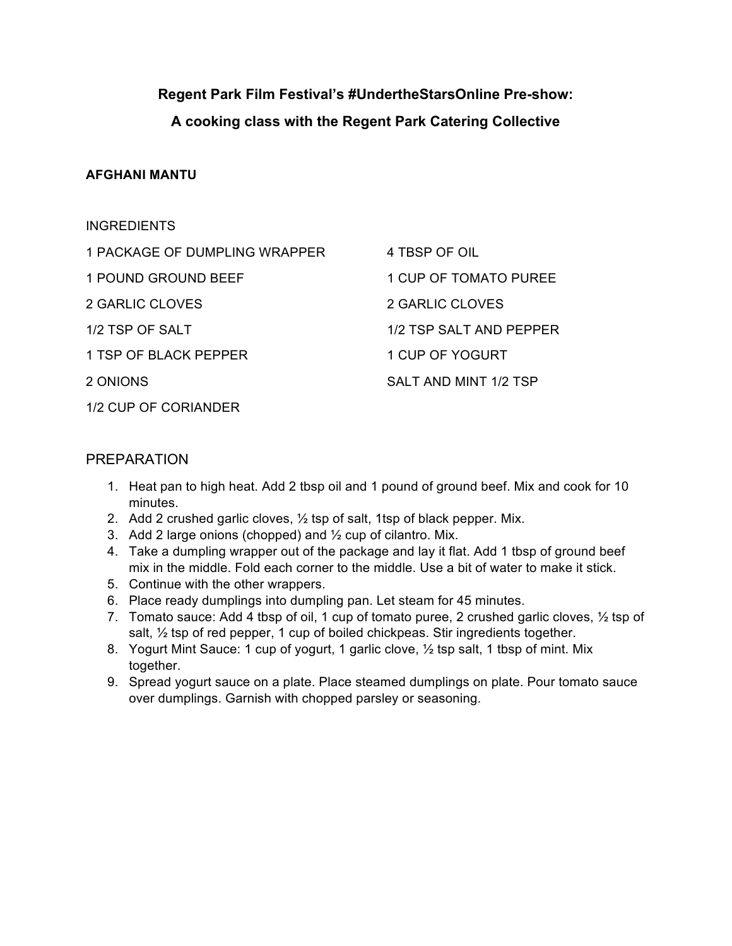# **Regent Park Film Festival's #UndertheStarsOnline Pre-show: A cooking class with the Regent Park Catering Collective**

## **AFGHANI MANTU**

| <b>INGREDIENTS</b>            |                         |
|-------------------------------|-------------------------|
| 1 PACKAGE OF DUMPLING WRAPPER | 4 TBSP OF OIL           |
| 1 POUND GROUND BEEF           | 1 CUP OF TOMATO PUREE   |
| 2 GARLIC CLOVES               | 2 GARLIC CLOVES         |
| 1/2 TSP OF SALT               | 1/2 TSP SALT AND PEPPER |
| 1 TSP OF BLACK PEPPER         | 1 CUP OF YOGURT         |
| 2 ONIONS                      | SALT AND MINT 1/2 TSP   |
| 1/2 CUP OF CORIANDER          |                         |

## PREPARATION

- 1. Heat pan to high heat. Add 2 tbsp oil and 1 pound of ground beef. Mix and cook for 10 minutes.
- 2. Add 2 crushed garlic cloves, ½ tsp of salt, 1tsp of black pepper. Mix.
- 3. Add 2 large onions (chopped) and  $\frac{1}{2}$  cup of cilantro. Mix.
- 4. Take a dumpling wrapper out of the package and lay it flat. Add 1 tbsp of ground beef mix in the middle. Fold each corner to the middle. Use a bit of water to make it stick.
- 5. Continue with the other wrappers.
- 6. Place ready dumplings into dumpling pan. Let steam for 45 minutes.
- 7. Tomato sauce: Add 4 tbsp of oil, 1 cup of tomato puree, 2 crushed garlic cloves, 1/2 tsp of salt,  $\frac{1}{2}$  tsp of red pepper, 1 cup of boiled chickpeas. Stir ingredients together.
- 8. Yogurt Mint Sauce: 1 cup of yogurt, 1 garlic clove,  $\frac{1}{2}$  tsp salt, 1 tbsp of mint. Mix together.
- 9. Spread yogurt sauce on a plate. Place steamed dumplings on plate. Pour tomato sauce over dumplings. Garnish with chopped parsley or seasoning.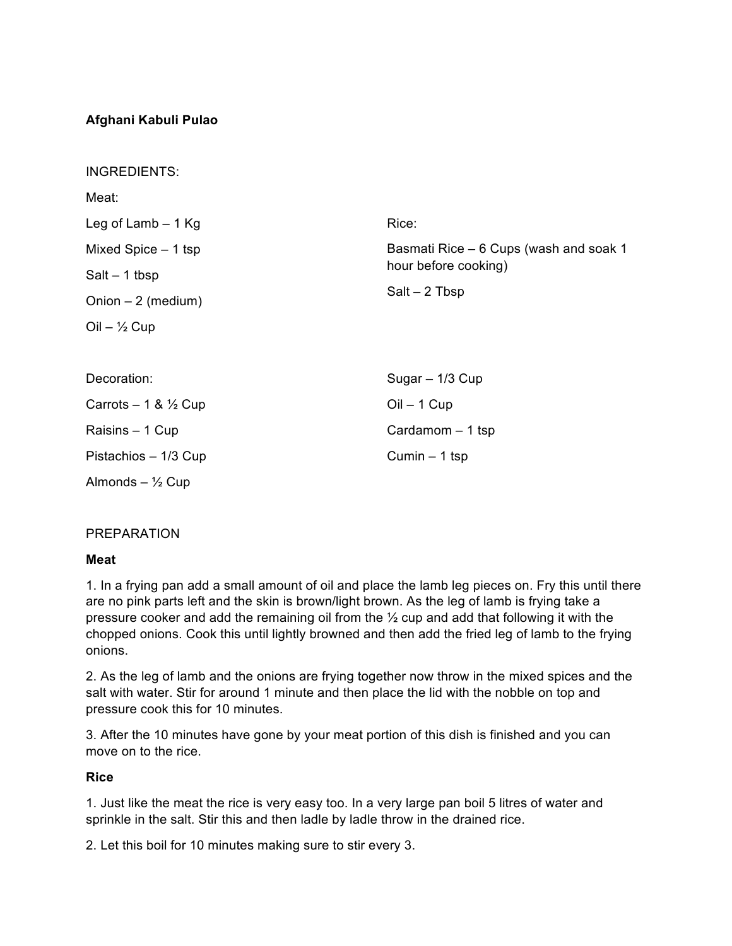## **Afghani Kabuli Pulao**

| <b>INGREDIENTS:</b>              |                                                                                   |
|----------------------------------|-----------------------------------------------------------------------------------|
| Meat:                            |                                                                                   |
| Leg of Lamb $-1$ Kg              | Rice:                                                                             |
| Mixed Spice $-1$ tsp             | Basmati Rice – 6 Cups (wash and soak 1<br>hour before cooking)<br>$Salt - 2$ Tbsp |
| $Salt - 1$ tbsp                  |                                                                                   |
| Onion $-2$ (medium)              |                                                                                   |
| $Oil - \frac{1}{2} Cup$          |                                                                                   |
|                                  |                                                                                   |
| Decoration:                      | Sugar - 1/3 Cup                                                                   |
| Carrots $-1$ & $\frac{1}{2}$ Cup | $Oil - 1$ Cup                                                                     |
| Raisins - 1 Cup                  | Cardamom $-1$ tsp                                                                 |
| Pistachios - 1/3 Cup             | Cumin $-1$ tsp                                                                    |
| Almonds $ \frac{1}{2}$ Cup       |                                                                                   |

#### PREPARATION

#### **Meat**

1. In a frying pan add a small amount of oil and place the lamb leg pieces on. Fry this until there are no pink parts left and the skin is brown/light brown. As the leg of lamb is frying take a pressure cooker and add the remaining oil from the ½ cup and add that following it with the chopped onions. Cook this until lightly browned and then add the fried leg of lamb to the frying onions.

2. As the leg of lamb and the onions are frying together now throw in the mixed spices and the salt with water. Stir for around 1 minute and then place the lid with the nobble on top and pressure cook this for 10 minutes.

3. After the 10 minutes have gone by your meat portion of this dish is finished and you can move on to the rice.

#### **Rice**

1. Just like the meat the rice is very easy too. In a very large pan boil 5 litres of water and sprinkle in the salt. Stir this and then ladle by ladle throw in the drained rice.

2. Let this boil for 10 minutes making sure to stir every 3.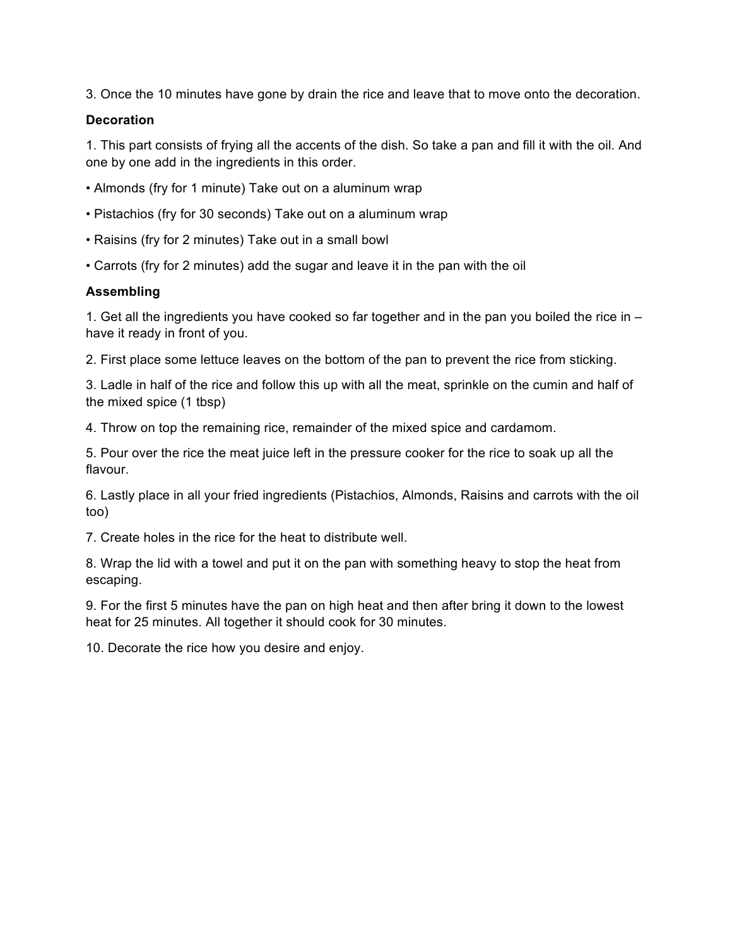3. Once the 10 minutes have gone by drain the rice and leave that to move onto the decoration.

#### **Decoration**

1. This part consists of frying all the accents of the dish. So take a pan and fill it with the oil. And one by one add in the ingredients in this order.

- Almonds (fry for 1 minute) Take out on a aluminum wrap
- Pistachios (fry for 30 seconds) Take out on a aluminum wrap
- Raisins (fry for 2 minutes) Take out in a small bowl
- Carrots (fry for 2 minutes) add the sugar and leave it in the pan with the oil

## **Assembling**

1. Get all the ingredients you have cooked so far together and in the pan you boiled the rice in – have it ready in front of you.

2. First place some lettuce leaves on the bottom of the pan to prevent the rice from sticking.

3. Ladle in half of the rice and follow this up with all the meat, sprinkle on the cumin and half of the mixed spice (1 tbsp)

4. Throw on top the remaining rice, remainder of the mixed spice and cardamom.

5. Pour over the rice the meat juice left in the pressure cooker for the rice to soak up all the flavour.

6. Lastly place in all your fried ingredients (Pistachios, Almonds, Raisins and carrots with the oil too)

7. Create holes in the rice for the heat to distribute well.

8. Wrap the lid with a towel and put it on the pan with something heavy to stop the heat from escaping.

9. For the first 5 minutes have the pan on high heat and then after bring it down to the lowest heat for 25 minutes. All together it should cook for 30 minutes.

10. Decorate the rice how you desire and enjoy.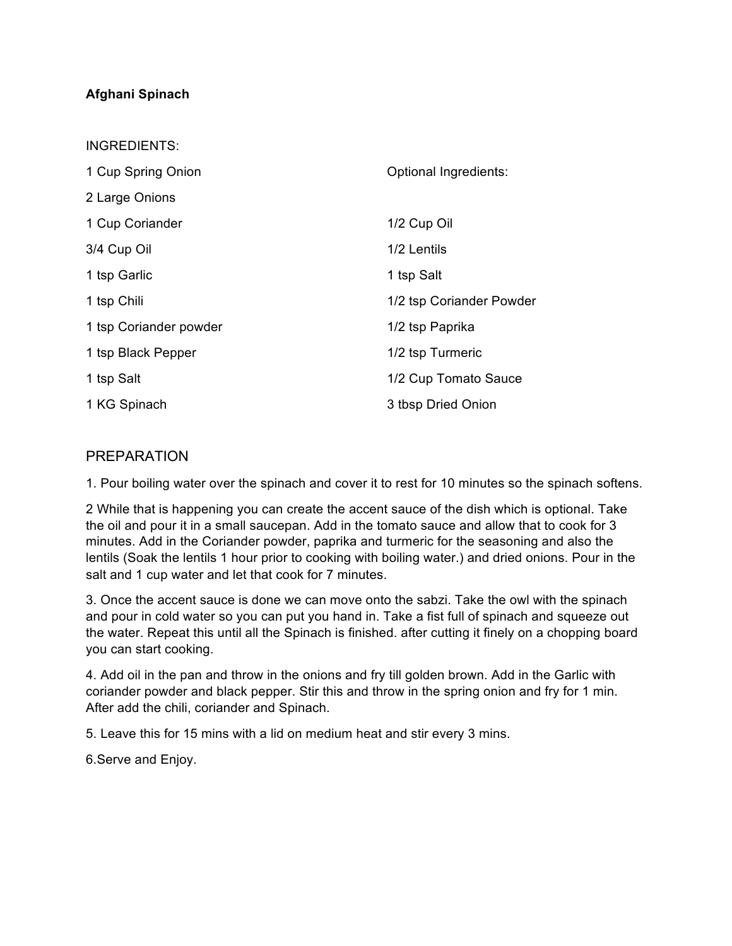## **Afghani Spinach**

 $II \cap B = I \cap I$ 

| INGREDIENTS:           |                          |
|------------------------|--------------------------|
| 1 Cup Spring Onion     | Optional Ingredients:    |
| 2 Large Onions         |                          |
| 1 Cup Coriander        | 1/2 Cup Oil              |
| 3/4 Cup Oil            | 1/2 Lentils              |
| 1 tsp Garlic           | 1 tsp Salt               |
| 1 tsp Chili            | 1/2 tsp Coriander Powder |
| 1 tsp Coriander powder | 1/2 tsp Paprika          |
| 1 tsp Black Pepper     | 1/2 tsp Turmeric         |
| 1 tsp Salt             | 1/2 Cup Tomato Sauce     |
| 1 KG Spinach           | 3 tbsp Dried Onion       |

# PREPARATION

1. Pour boiling water over the spinach and cover it to rest for 10 minutes so the spinach softens.

2 While that is happening you can create the accent sauce of the dish which is optional. Take the oil and pour it in a small saucepan. Add in the tomato sauce and allow that to cook for 3 minutes. Add in the Coriander powder, paprika and turmeric for the seasoning and also the lentils (Soak the lentils 1 hour prior to cooking with boiling water.) and dried onions. Pour in the salt and 1 cup water and let that cook for 7 minutes.

3. Once the accent sauce is done we can move onto the sabzi. Take the owl with the spinach and pour in cold water so you can put you hand in. Take a fist full of spinach and squeeze out the water. Repeat this until all the Spinach is finished. after cutting it finely on a chopping board you can start cooking.

4. Add oil in the pan and throw in the onions and fry till golden brown. Add in the Garlic with coriander powder and black pepper. Stir this and throw in the spring onion and fry for 1 min. After add the chili, coriander and Spinach.

5. Leave this for 15 mins with a lid on medium heat and stir every 3 mins.

6.Serve and Enjoy.